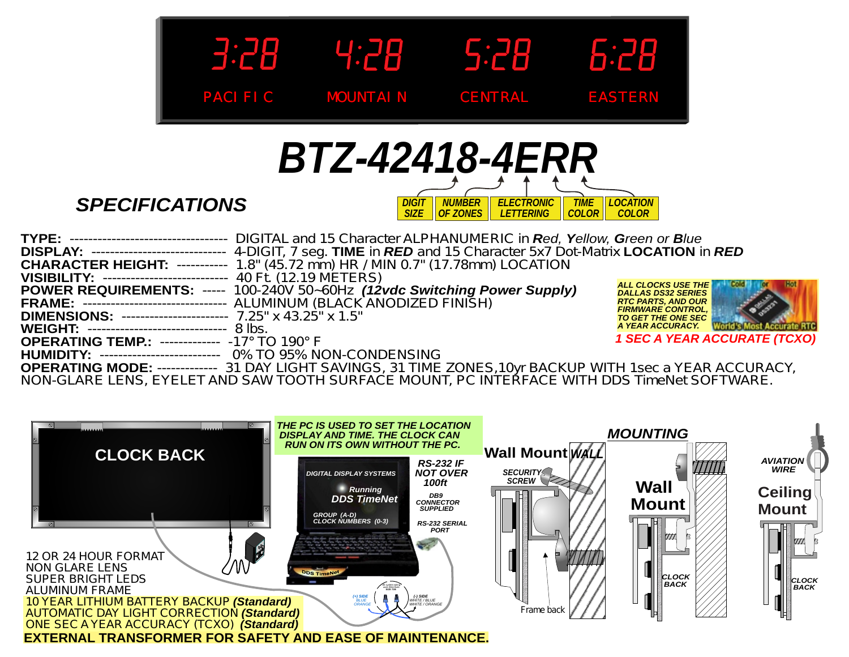



*SPECIFICATIONS*

| TYPE: -------------------------------- DIGITAL and 15 Character ALPHANUMERIC in Red, Yellow, Green or Blue               |                                                        |
|--------------------------------------------------------------------------------------------------------------------------|--------------------------------------------------------|
| <b>DISPLAY:</b> ---------------------------- 4-DIGIT, 7 seg. TIME in RED and 15 Character 5x7 Dot-Matrix LOCATION in RED |                                                        |
| <b>CHARACTER HEIGHT: ---------- 1.8" (45.72 mm) HR / MIN 0.7" (17.78mm) LOCATION</b>                                     |                                                        |
| <b>VISIBILITY: -------------------------- 40 Ft. (12.19 METERS)</b>                                                      |                                                        |
| <b>POWER REQUIREMENTS: ----- 100-240V 50~60Hz (12vdc Switching Power Supply)</b>                                         | <b>ALL CLOCKS USE THE</b><br><b>DALLAS DS32 SERIES</b> |
| FRAME: ------------------------------- ALUMINUM (BLACK ANODIZED FINISH)                                                  | <b>RTC PARTS, AND OUR</b><br><b>FIRMWARE CONTROL,</b>  |
| <b>DIMENSIONS: --------------------- 7.25" x 43.25" x 1.5"</b>                                                           | <b>TO GET THE ONE SEC</b>                              |
| <b>WEIGHT: ------------------------------ 8 lbs.</b>                                                                     | <b>World's Most Accurate RTC</b><br>A YEAR ACCURACY.   |
| <b>OPERATING TEMP.: ------------ -17° TO 190° F</b>                                                                      | <b>1 SEC A YEAR ACCURATE (TCXO)</b>                    |
| <b>HUMIDITY: -------------------------- 0% TO 95% NON-CONDENSING</b>                                                     |                                                        |
| <b>OPERATING MODE: ------------ 31 DAY LIGHT SAVINGS, 31 TIME ZONES, 10yr BACKUP WITH 1sec a YEAR ACCURACY,</b>          |                                                        |
| NON OLADE LENO, EVELET AND CAW TOOTH QUDEAGE MOUNT, DO INTEDEAGE WITH DDO TIMANAL COETWADE                               |                                                        |

NON-GLARE LENS, EYELET AND SAW TOOTH SURFACE MOUNT, PC INTERFACE WITH DDS TimeNet SOFTWARE.